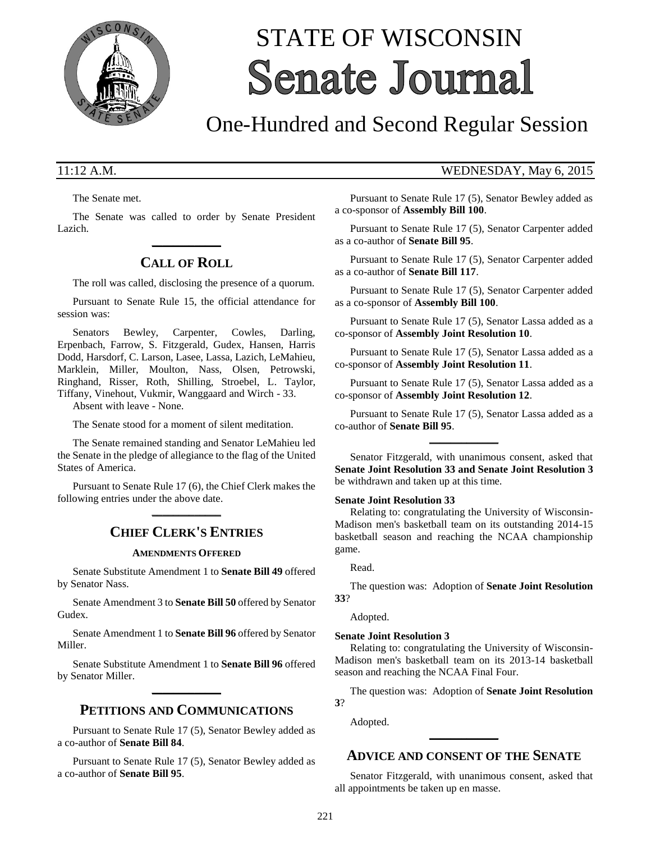

# STATE OF WISCONSIN **Senate Journal**

## One-Hundred and Second Regular Session

The Senate met.

The Senate was called to order by Senate President Lazich. **\_\_\_\_\_\_\_\_\_\_\_\_\_**

## **CALL OF ROLL**

The roll was called, disclosing the presence of a quorum.

Pursuant to Senate Rule 15, the official attendance for session was:

Senators Bewley, Carpenter, Cowles, Darling, Erpenbach, Farrow, S. Fitzgerald, Gudex, Hansen, Harris Dodd, Harsdorf, C. Larson, Lasee, Lassa, Lazich, LeMahieu, Marklein, Miller, Moulton, Nass, Olsen, Petrowski, Ringhand, Risser, Roth, Shilling, Stroebel, L. Taylor, Tiffany, Vinehout, Vukmir, Wanggaard and Wirch - 33.

Absent with leave - None.

The Senate stood for a moment of silent meditation.

The Senate remained standing and Senator LeMahieu led the Senate in the pledge of allegiance to the flag of the United States of America.

Pursuant to Senate Rule 17 (6), the Chief Clerk makes the following entries under the above date. **\_\_\_\_\_\_\_\_\_\_\_\_\_**

## **CHIEF CLERK'S ENTRIES**

#### **AMENDMENTS OFFERED**

Senate Substitute Amendment 1 to **Senate Bill 49** offered by Senator Nass.

Senate Amendment 3 to **Senate Bill 50** offered by Senator Gudex.

Senate Amendment 1 to **Senate Bill 96** offered by Senator Miller.

Senate Substitute Amendment 1 to **Senate Bill 96** offered by Senator Miller. **\_\_\_\_\_\_\_\_\_\_\_\_\_**

## **PETITIONS AND COMMUNICATIONS**

Pursuant to Senate Rule 17 (5), Senator Bewley added as a co-author of **Senate Bill 84**.

Pursuant to Senate Rule 17 (5), Senator Bewley added as a co-author of **Senate Bill 95**.

### 11:12 A.M. WEDNESDAY, May 6, 2015

Pursuant to Senate Rule 17 (5), Senator Bewley added as a co-sponsor of **Assembly Bill 100**.

Pursuant to Senate Rule 17 (5), Senator Carpenter added as a co-author of **Senate Bill 95**.

Pursuant to Senate Rule 17 (5), Senator Carpenter added as a co-author of **Senate Bill 117**.

Pursuant to Senate Rule 17 (5), Senator Carpenter added as a co-sponsor of **Assembly Bill 100**.

Pursuant to Senate Rule 17 (5), Senator Lassa added as a co-sponsor of **Assembly Joint Resolution 10**.

Pursuant to Senate Rule 17 (5), Senator Lassa added as a co-sponsor of **Assembly Joint Resolution 11**.

Pursuant to Senate Rule 17 (5), Senator Lassa added as a co-sponsor of **Assembly Joint Resolution 12**.

Pursuant to Senate Rule 17 (5), Senator Lassa added as a co-author of **Senate Bill 95**. **\_\_\_\_\_\_\_\_\_\_\_\_\_**

Senator Fitzgerald, with unanimous consent, asked that **Senate Joint Resolution 33 and Senate Joint Resolution 3** be withdrawn and taken up at this time.

#### **Senate Joint Resolution 33**

Relating to: congratulating the University of Wisconsin-Madison men's basketball team on its outstanding 2014-15 basketball season and reaching the NCAA championship game.

#### Read.

The question was: Adoption of **Senate Joint Resolution 33**?

Adopted.

#### **Senate Joint Resolution 3**

Relating to: congratulating the University of Wisconsin-Madison men's basketball team on its 2013-14 basketball season and reaching the NCAA Final Four.

The question was: Adoption of **Senate Joint Resolution 3**?

Adopted.

#### **ADVICE AND CONSENT OF THE SENATE**

**\_\_\_\_\_\_\_\_\_\_\_\_\_**

Senator Fitzgerald, with unanimous consent, asked that all appointments be taken up en masse.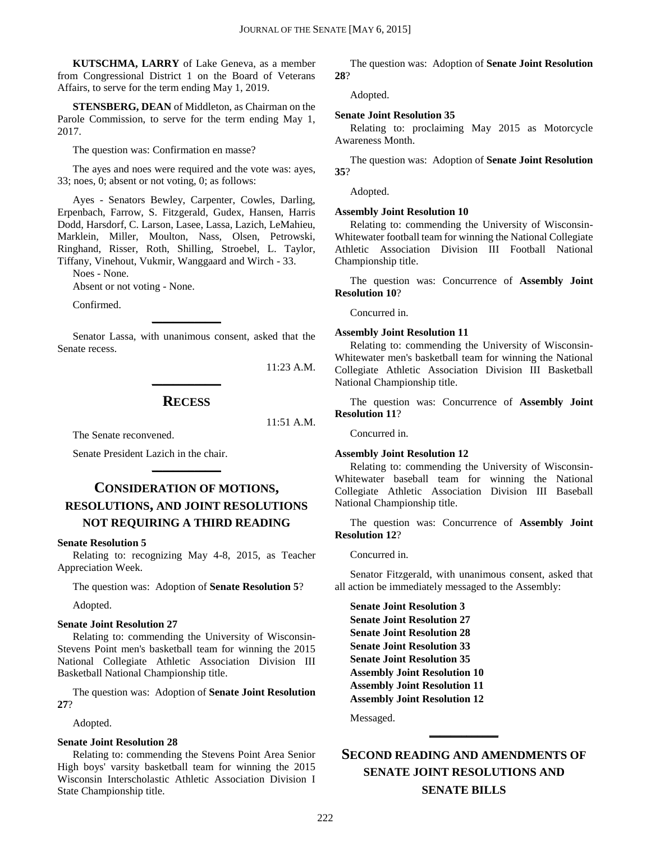**KUTSCHMA, LARRY** of Lake Geneva, as a member from Congressional District 1 on the Board of Veterans Affairs, to serve for the term ending May 1, 2019.

**STENSBERG, DEAN** of Middleton, as Chairman on the Parole Commission, to serve for the term ending May 1, 2017.

The question was: Confirmation en masse?

The ayes and noes were required and the vote was: ayes, 33; noes, 0; absent or not voting, 0; as follows:

Ayes - Senators Bewley, Carpenter, Cowles, Darling, Erpenbach, Farrow, S. Fitzgerald, Gudex, Hansen, Harris Dodd, Harsdorf, C. Larson, Lasee, Lassa, Lazich, LeMahieu, Marklein, Miller, Moulton, Nass, Olsen, Petrowski, Ringhand, Risser, Roth, Shilling, Stroebel, L. Taylor, Tiffany, Vinehout, Vukmir, Wanggaard and Wirch - 33.

Noes - None.

Absent or not voting - None.

Confirmed.

Senator Lassa, with unanimous consent, asked that the Senate recess.

**\_\_\_\_\_\_\_\_\_\_\_\_\_**

11:23 A.M.

#### **RECESS**

**\_\_\_\_\_\_\_\_\_\_\_\_\_**

11:51 A.M.

The Senate reconvened.

Senate President Lazich in the chair.

## **CONSIDERATION OF MOTIONS, RESOLUTIONS, AND JOINT RESOLUTIONS NOT REQUIRING A THIRD READING**

**\_\_\_\_\_\_\_\_\_\_\_\_\_**

#### **Senate Resolution 5**

Relating to: recognizing May 4-8, 2015, as Teacher Appreciation Week.

The question was: Adoption of **Senate Resolution 5**?

Adopted.

#### **Senate Joint Resolution 27**

Relating to: commending the University of Wisconsin-Stevens Point men's basketball team for winning the 2015 National Collegiate Athletic Association Division III Basketball National Championship title.

The question was: Adoption of **Senate Joint Resolution 27**?

Adopted.

#### **Senate Joint Resolution 28**

Relating to: commending the Stevens Point Area Senior High boys' varsity basketball team for winning the 2015 Wisconsin Interscholastic Athletic Association Division I State Championship title.

The question was: Adoption of **Senate Joint Resolution 28**?

Adopted.

#### **Senate Joint Resolution 35**

Relating to: proclaiming May 2015 as Motorcycle Awareness Month.

The question was: Adoption of **Senate Joint Resolution 35**?

Adopted.

#### **Assembly Joint Resolution 10**

Relating to: commending the University of Wisconsin-Whitewater football team for winning the National Collegiate Athletic Association Division III Football National Championship title.

The question was: Concurrence of **Assembly Joint Resolution 10**?

Concurred in.

#### **Assembly Joint Resolution 11**

Relating to: commending the University of Wisconsin-Whitewater men's basketball team for winning the National Collegiate Athletic Association Division III Basketball National Championship title.

The question was: Concurrence of **Assembly Joint Resolution 11**?

Concurred in.

#### **Assembly Joint Resolution 12**

Relating to: commending the University of Wisconsin-Whitewater baseball team for winning the National Collegiate Athletic Association Division III Baseball National Championship title.

The question was: Concurrence of **Assembly Joint Resolution 12**?

Concurred in.

Senator Fitzgerald, with unanimous consent, asked that all action be immediately messaged to the Assembly:

**Senate Joint Resolution 3 Senate Joint Resolution 27 Senate Joint Resolution 28 Senate Joint Resolution 33 Senate Joint Resolution 35 Assembly Joint Resolution 10 Assembly Joint Resolution 11 Assembly Joint Resolution 12**

Messaged.

## **SECOND READING AND AMENDMENTS OF SENATE JOINT RESOLUTIONS AND SENATE BILLS**

**\_\_\_\_\_\_\_\_\_\_\_\_\_**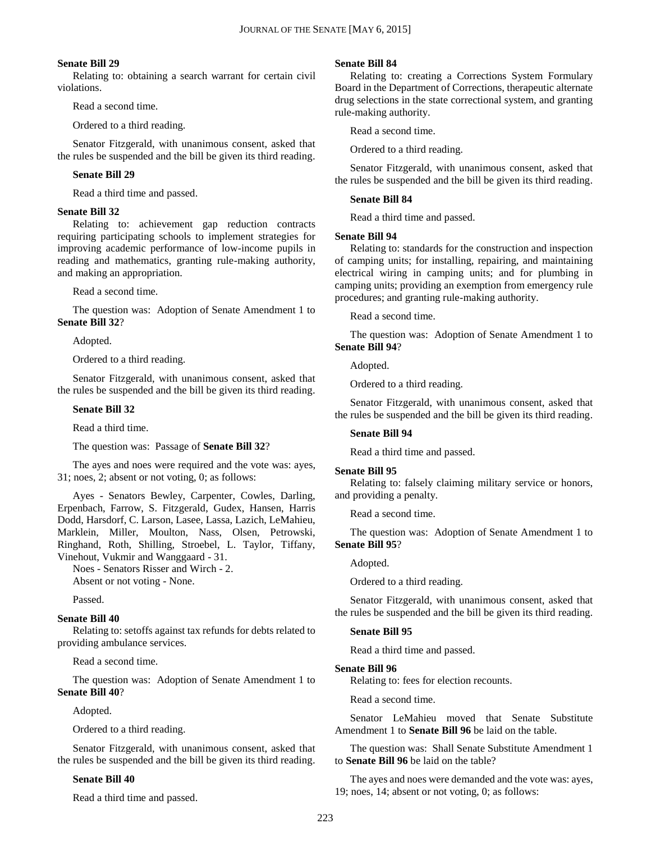#### **Senate Bill 29**

Relating to: obtaining a search warrant for certain civil violations.

Read a second time.

Ordered to a third reading.

Senator Fitzgerald, with unanimous consent, asked that the rules be suspended and the bill be given its third reading.

#### **Senate Bill 29**

Read a third time and passed.

#### **Senate Bill 32**

Relating to: achievement gap reduction contracts requiring participating schools to implement strategies for improving academic performance of low-income pupils in reading and mathematics, granting rule-making authority, and making an appropriation.

Read a second time.

The question was: Adoption of Senate Amendment 1 to **Senate Bill 32**?

Adopted.

Ordered to a third reading.

Senator Fitzgerald, with unanimous consent, asked that the rules be suspended and the bill be given its third reading.

#### **Senate Bill 32**

Read a third time.

The question was: Passage of **Senate Bill 32**?

The ayes and noes were required and the vote was: ayes, 31; noes, 2; absent or not voting, 0; as follows:

Ayes - Senators Bewley, Carpenter, Cowles, Darling, Erpenbach, Farrow, S. Fitzgerald, Gudex, Hansen, Harris Dodd, Harsdorf, C. Larson, Lasee, Lassa, Lazich, LeMahieu, Marklein, Miller, Moulton, Nass, Olsen, Petrowski, Ringhand, Roth, Shilling, Stroebel, L. Taylor, Tiffany, Vinehout, Vukmir and Wanggaard - 31.

Noes - Senators Risser and Wirch - 2. Absent or not voting - None.

Passed.

#### **Senate Bill 40**

Relating to: setoffs against tax refunds for debts related to providing ambulance services.

Read a second time.

The question was: Adoption of Senate Amendment 1 to **Senate Bill 40**?

Adopted.

Ordered to a third reading.

Senator Fitzgerald, with unanimous consent, asked that the rules be suspended and the bill be given its third reading.

#### **Senate Bill 40**

Read a third time and passed.

#### **Senate Bill 84**

Relating to: creating a Corrections System Formulary Board in the Department of Corrections, therapeutic alternate drug selections in the state correctional system, and granting rule-making authority.

Read a second time.

Ordered to a third reading.

Senator Fitzgerald, with unanimous consent, asked that the rules be suspended and the bill be given its third reading.

#### **Senate Bill 84**

Read a third time and passed.

#### **Senate Bill 94**

Relating to: standards for the construction and inspection of camping units; for installing, repairing, and maintaining electrical wiring in camping units; and for plumbing in camping units; providing an exemption from emergency rule procedures; and granting rule-making authority.

Read a second time.

The question was: Adoption of Senate Amendment 1 to **Senate Bill 94**?

Adopted.

Ordered to a third reading.

Senator Fitzgerald, with unanimous consent, asked that the rules be suspended and the bill be given its third reading.

#### **Senate Bill 94**

Read a third time and passed.

#### **Senate Bill 95**

Relating to: falsely claiming military service or honors, and providing a penalty.

Read a second time.

The question was: Adoption of Senate Amendment 1 to **Senate Bill 95**?

Adopted.

Ordered to a third reading.

Senator Fitzgerald, with unanimous consent, asked that the rules be suspended and the bill be given its third reading.

#### **Senate Bill 95**

Read a third time and passed.

#### **Senate Bill 96**

Relating to: fees for election recounts.

Read a second time.

Senator LeMahieu moved that Senate Substitute Amendment 1 to **Senate Bill 96** be laid on the table.

The question was: Shall Senate Substitute Amendment 1 to **Senate Bill 96** be laid on the table?

The ayes and noes were demanded and the vote was: ayes, 19; noes, 14; absent or not voting, 0; as follows: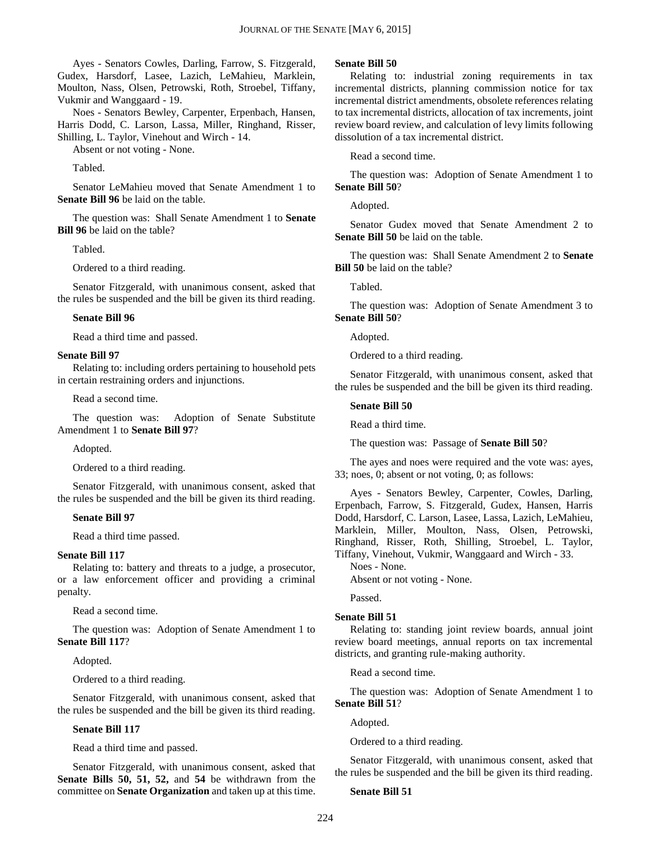Ayes - Senators Cowles, Darling, Farrow, S. Fitzgerald, Gudex, Harsdorf, Lasee, Lazich, LeMahieu, Marklein, Moulton, Nass, Olsen, Petrowski, Roth, Stroebel, Tiffany, Vukmir and Wanggaard - 19.

Noes - Senators Bewley, Carpenter, Erpenbach, Hansen, Harris Dodd, C. Larson, Lassa, Miller, Ringhand, Risser, Shilling, L. Taylor, Vinehout and Wirch - 14.

Absent or not voting - None.

Tabled.

Senator LeMahieu moved that Senate Amendment 1 to **Senate Bill 96** be laid on the table.

The question was: Shall Senate Amendment 1 to **Senate Bill 96** be laid on the table?

Tabled.

Ordered to a third reading.

Senator Fitzgerald, with unanimous consent, asked that the rules be suspended and the bill be given its third reading.

#### **Senate Bill 96**

Read a third time and passed.

#### **Senate Bill 97**

Relating to: including orders pertaining to household pets in certain restraining orders and injunctions.

Read a second time.

The question was: Adoption of Senate Substitute Amendment 1 to **Senate Bill 97**?

Adopted.

Ordered to a third reading.

Senator Fitzgerald, with unanimous consent, asked that the rules be suspended and the bill be given its third reading.

#### **Senate Bill 97**

Read a third time passed.

#### **Senate Bill 117**

Relating to: battery and threats to a judge, a prosecutor, or a law enforcement officer and providing a criminal penalty.

Read a second time.

The question was: Adoption of Senate Amendment 1 to **Senate Bill 117**?

Adopted.

Ordered to a third reading.

Senator Fitzgerald, with unanimous consent, asked that the rules be suspended and the bill be given its third reading.

#### **Senate Bill 117**

Read a third time and passed.

Senator Fitzgerald, with unanimous consent, asked that **Senate Bills 50, 51, 52,** and **54** be withdrawn from the committee on **Senate Organization** and taken up at this time.

#### **Senate Bill 50**

Relating to: industrial zoning requirements in tax incremental districts, planning commission notice for tax incremental district amendments, obsolete references relating to tax incremental districts, allocation of tax increments, joint review board review, and calculation of levy limits following dissolution of a tax incremental district.

Read a second time.

The question was: Adoption of Senate Amendment 1 to **Senate Bill 50**?

Adopted.

Senator Gudex moved that Senate Amendment 2 to **Senate Bill 50** be laid on the table.

The question was: Shall Senate Amendment 2 to **Senate Bill 50** be laid on the table?

Tabled.

The question was: Adoption of Senate Amendment 3 to **Senate Bill 50**?

Adopted.

Ordered to a third reading.

Senator Fitzgerald, with unanimous consent, asked that the rules be suspended and the bill be given its third reading.

#### **Senate Bill 50**

Read a third time.

The question was: Passage of **Senate Bill 50**?

The ayes and noes were required and the vote was: ayes, 33; noes, 0; absent or not voting, 0; as follows:

Ayes - Senators Bewley, Carpenter, Cowles, Darling, Erpenbach, Farrow, S. Fitzgerald, Gudex, Hansen, Harris Dodd, Harsdorf, C. Larson, Lasee, Lassa, Lazich, LeMahieu, Marklein, Miller, Moulton, Nass, Olsen, Petrowski, Ringhand, Risser, Roth, Shilling, Stroebel, L. Taylor, Tiffany, Vinehout, Vukmir, Wanggaard and Wirch - 33.

Noes - None.

Absent or not voting - None.

Passed.

#### **Senate Bill 51**

Relating to: standing joint review boards, annual joint review board meetings, annual reports on tax incremental districts, and granting rule-making authority.

Read a second time.

The question was: Adoption of Senate Amendment 1 to **Senate Bill 51**?

Adopted.

Ordered to a third reading.

Senator Fitzgerald, with unanimous consent, asked that the rules be suspended and the bill be given its third reading.

#### **Senate Bill 51**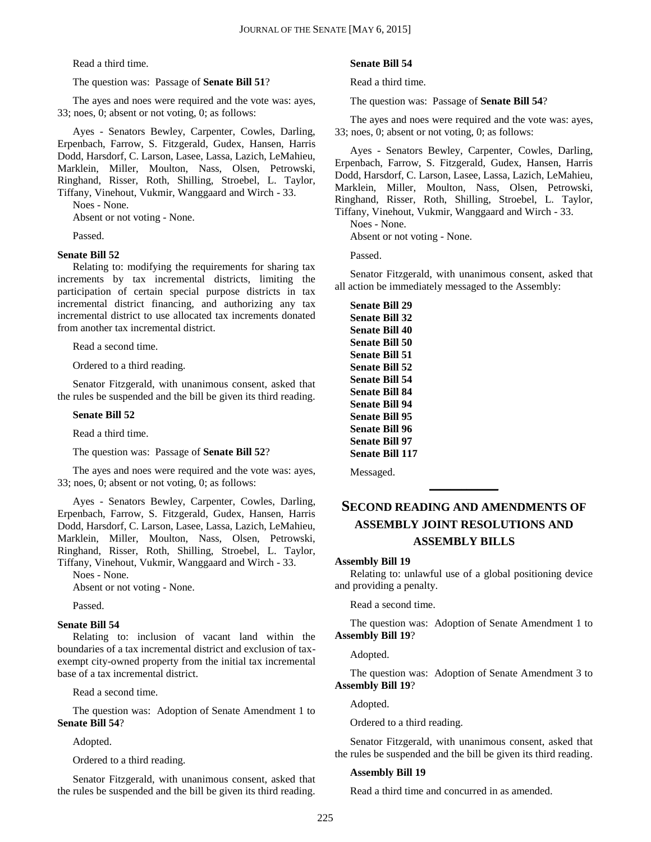Read a third time.

#### The question was: Passage of **Senate Bill 51**?

The ayes and noes were required and the vote was: ayes, 33; noes, 0; absent or not voting, 0; as follows:

Ayes - Senators Bewley, Carpenter, Cowles, Darling, Erpenbach, Farrow, S. Fitzgerald, Gudex, Hansen, Harris Dodd, Harsdorf, C. Larson, Lasee, Lassa, Lazich, LeMahieu, Marklein, Miller, Moulton, Nass, Olsen, Petrowski, Ringhand, Risser, Roth, Shilling, Stroebel, L. Taylor, Tiffany, Vinehout, Vukmir, Wanggaard and Wirch - 33.

Noes - None.

Absent or not voting - None.

Passed.

#### **Senate Bill 52**

Relating to: modifying the requirements for sharing tax increments by tax incremental districts, limiting the participation of certain special purpose districts in tax incremental district financing, and authorizing any tax incremental district to use allocated tax increments donated from another tax incremental district.

Read a second time.

Ordered to a third reading.

Senator Fitzgerald, with unanimous consent, asked that the rules be suspended and the bill be given its third reading.

#### **Senate Bill 52**

Read a third time.

The question was: Passage of **Senate Bill 52**?

The ayes and noes were required and the vote was: ayes, 33; noes, 0; absent or not voting, 0; as follows:

Ayes - Senators Bewley, Carpenter, Cowles, Darling, Erpenbach, Farrow, S. Fitzgerald, Gudex, Hansen, Harris Dodd, Harsdorf, C. Larson, Lasee, Lassa, Lazich, LeMahieu, Marklein, Miller, Moulton, Nass, Olsen, Petrowski, Ringhand, Risser, Roth, Shilling, Stroebel, L. Taylor, Tiffany, Vinehout, Vukmir, Wanggaard and Wirch - 33.

Noes - None.

Absent or not voting - None.

Passed.

#### **Senate Bill 54**

Relating to: inclusion of vacant land within the boundaries of a tax incremental district and exclusion of taxexempt city-owned property from the initial tax incremental base of a tax incremental district.

Read a second time.

The question was: Adoption of Senate Amendment 1 to **Senate Bill 54**?

Adopted.

Ordered to a third reading.

Senator Fitzgerald, with unanimous consent, asked that the rules be suspended and the bill be given its third reading.

#### **Senate Bill 54**

Read a third time.

The question was: Passage of **Senate Bill 54**?

The ayes and noes were required and the vote was: ayes, 33; noes, 0; absent or not voting, 0; as follows:

Ayes - Senators Bewley, Carpenter, Cowles, Darling, Erpenbach, Farrow, S. Fitzgerald, Gudex, Hansen, Harris Dodd, Harsdorf, C. Larson, Lasee, Lassa, Lazich, LeMahieu, Marklein, Miller, Moulton, Nass, Olsen, Petrowski, Ringhand, Risser, Roth, Shilling, Stroebel, L. Taylor, Tiffany, Vinehout, Vukmir, Wanggaard and Wirch - 33.

Noes - None.

Absent or not voting - None.

Passed.

Senator Fitzgerald, with unanimous consent, asked that all action be immediately messaged to the Assembly:

**Senate Bill 29 Senate Bill 32 Senate Bill 40 Senate Bill 50 Senate Bill 51 Senate Bill 52 Senate Bill 54 Senate Bill 84 Senate Bill 94 Senate Bill 95 Senate Bill 96 Senate Bill 97 Senate Bill 117**

Messaged.

## **SECOND READING AND AMENDMENTS OF ASSEMBLY JOINT RESOLUTIONS AND ASSEMBLY BILLS**

**\_\_\_\_\_\_\_\_\_\_\_\_\_**

#### **Assembly Bill 19**

Relating to: unlawful use of a global positioning device and providing a penalty.

Read a second time.

The question was: Adoption of Senate Amendment 1 to **Assembly Bill 19**?

Adopted.

The question was: Adoption of Senate Amendment 3 to **Assembly Bill 19**?

Adopted.

Ordered to a third reading.

Senator Fitzgerald, with unanimous consent, asked that the rules be suspended and the bill be given its third reading.

#### **Assembly Bill 19**

Read a third time and concurred in as amended.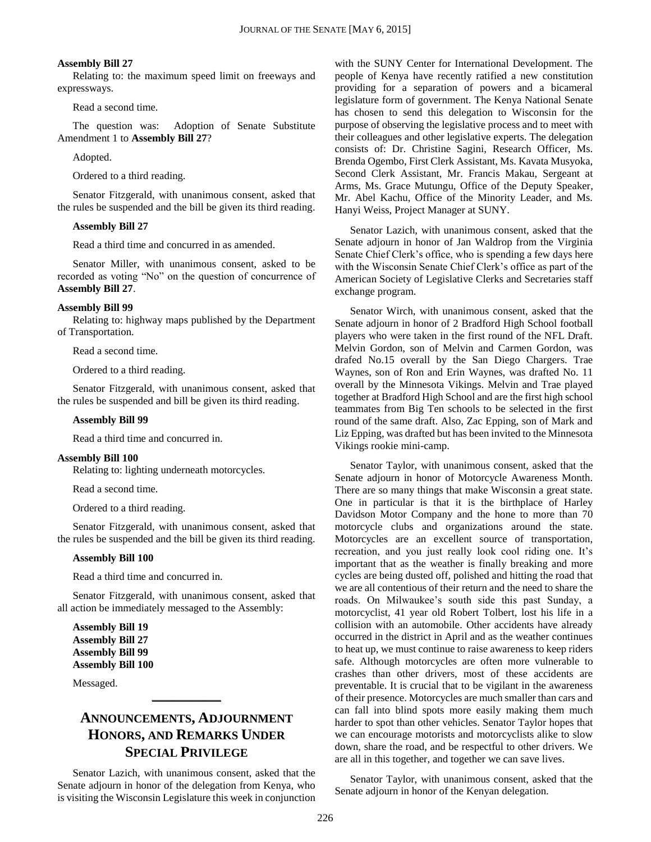#### **Assembly Bill 27**

Relating to: the maximum speed limit on freeways and expressways.

Read a second time.

The question was: Adoption of Senate Substitute Amendment 1 to **Assembly Bill 27**?

Adopted.

Ordered to a third reading.

Senator Fitzgerald, with unanimous consent, asked that the rules be suspended and the bill be given its third reading.

#### **Assembly Bill 27**

Read a third time and concurred in as amended.

Senator Miller, with unanimous consent, asked to be recorded as voting "No" on the question of concurrence of **Assembly Bill 27**.

#### **Assembly Bill 99**

Relating to: highway maps published by the Department of Transportation.

Read a second time.

Ordered to a third reading.

Senator Fitzgerald, with unanimous consent, asked that the rules be suspended and bill be given its third reading.

#### **Assembly Bill 99**

Read a third time and concurred in.

#### **Assembly Bill 100**

Relating to: lighting underneath motorcycles.

Read a second time.

Ordered to a third reading.

Senator Fitzgerald, with unanimous consent, asked that the rules be suspended and the bill be given its third reading.

#### **Assembly Bill 100**

Read a third time and concurred in.

Senator Fitzgerald, with unanimous consent, asked that all action be immediately messaged to the Assembly:

**Assembly Bill 19 Assembly Bill 27 Assembly Bill 99 Assembly Bill 100**

Messaged.

## **ANNOUNCEMENTS, ADJOURNMENT HONORS, AND REMARKS UNDER SPECIAL PRIVILEGE**

**\_\_\_\_\_\_\_\_\_\_\_\_\_**

Senator Lazich, with unanimous consent, asked that the Senate adjourn in honor of the delegation from Kenya, who is visiting the Wisconsin Legislature this week in conjunction with the SUNY Center for International Development. The people of Kenya have recently ratified a new constitution providing for a separation of powers and a bicameral legislature form of government. The Kenya National Senate has chosen to send this delegation to Wisconsin for the purpose of observing the legislative process and to meet with their colleagues and other legislative experts. The delegation consists of: Dr. Christine Sagini, Research Officer, Ms. Brenda Ogembo, First Clerk Assistant, Ms. Kavata Musyoka, Second Clerk Assistant, Mr. Francis Makau, Sergeant at Arms, Ms. Grace Mutungu, Office of the Deputy Speaker, Mr. Abel Kachu, Office of the Minority Leader, and Ms. Hanyi Weiss, Project Manager at SUNY.

Senator Lazich, with unanimous consent, asked that the Senate adjourn in honor of Jan Waldrop from the Virginia Senate Chief Clerk's office, who is spending a few days here with the Wisconsin Senate Chief Clerk's office as part of the American Society of Legislative Clerks and Secretaries staff exchange program.

Senator Wirch, with unanimous consent, asked that the Senate adjourn in honor of 2 Bradford High School football players who were taken in the first round of the NFL Draft. Melvin Gordon, son of Melvin and Carmen Gordon, was drafed No.15 overall by the San Diego Chargers. Trae Waynes, son of Ron and Erin Waynes, was drafted No. 11 overall by the Minnesota Vikings. Melvin and Trae played together at Bradford High School and are the first high school teammates from Big Ten schools to be selected in the first round of the same draft. Also, Zac Epping, son of Mark and Liz Epping, was drafted but has been invited to the Minnesota Vikings rookie mini-camp.

Senator Taylor, with unanimous consent, asked that the Senate adjourn in honor of Motorcycle Awareness Month. There are so many things that make Wisconsin a great state. One in particular is that it is the birthplace of Harley Davidson Motor Company and the hone to more than 70 motorcycle clubs and organizations around the state. Motorcycles are an excellent source of transportation, recreation, and you just really look cool riding one. It's important that as the weather is finally breaking and more cycles are being dusted off, polished and hitting the road that we are all contentious of their return and the need to share the roads. On Milwaukee's south side this past Sunday, a motorcyclist, 41 year old Robert Tolbert, lost his life in a collision with an automobile. Other accidents have already occurred in the district in April and as the weather continues to heat up, we must continue to raise awareness to keep riders safe. Although motorcycles are often more vulnerable to crashes than other drivers, most of these accidents are preventable. It is crucial that to be vigilant in the awareness of their presence. Motorcycles are much smaller than cars and can fall into blind spots more easily making them much harder to spot than other vehicles. Senator Taylor hopes that we can encourage motorists and motorcyclists alike to slow down, share the road, and be respectful to other drivers. We are all in this together, and together we can save lives.

Senator Taylor, with unanimous consent, asked that the Senate adjourn in honor of the Kenyan delegation.